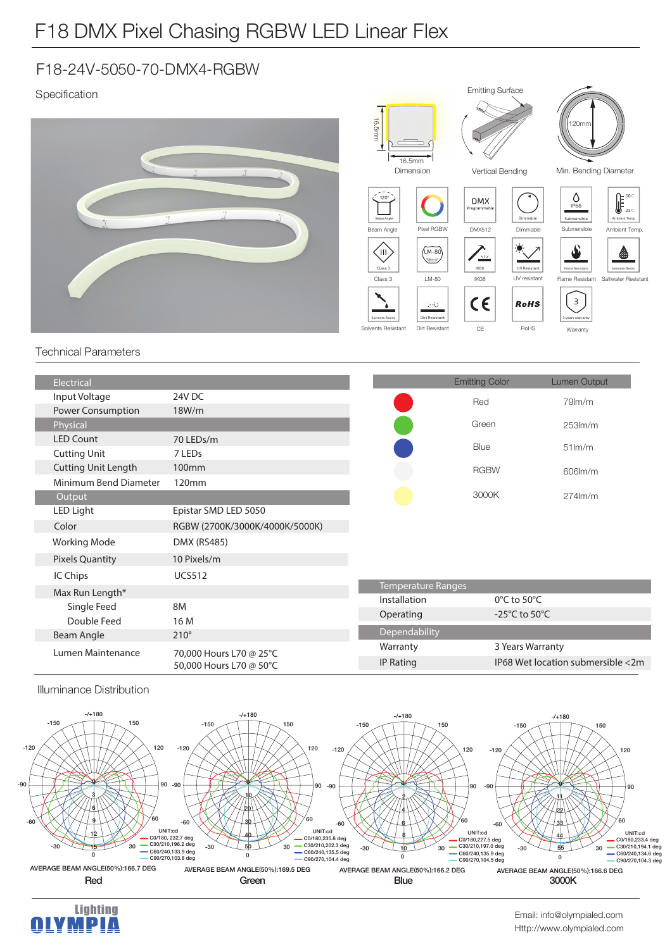## F18 DMX Pixel Chasing RGBW LED Linear Flex

## F18-24V-5050-70-DMX4-RGBW

## Specification



Emitting Surface

|  | <b>Power Consumption</b>   | 18W/m                                              |                    | nea                               | <b>ARTINIII</b>                   |
|--|----------------------------|----------------------------------------------------|--------------------|-----------------------------------|-----------------------------------|
|  | Physical                   |                                                    |                    | Green                             | $253$ m/m                         |
|  | <b>LED Count</b>           | 70 LEDs/m                                          |                    | <b>Blue</b>                       | $51$ m/m                          |
|  | <b>Cutting Unit</b>        | 7 LEDs                                             |                    |                                   |                                   |
|  | <b>Cutting Unit Length</b> | 100 <sub>mm</sub>                                  |                    | <b>RGBW</b>                       | 606lm/m                           |
|  | Minimum Bend Diameter      | 120 <sub>mm</sub>                                  |                    |                                   |                                   |
|  | Output                     |                                                    |                    | 3000K                             | $274$ lm/m                        |
|  | LED Light                  | Epistar SMD LED 5050                               |                    |                                   |                                   |
|  | Color                      | RGBW (2700K/3000K/4000K/5000K)                     |                    |                                   |                                   |
|  | <b>Working Mode</b>        | DMX (RS485)                                        |                    |                                   |                                   |
|  | <b>Pixels Quantity</b>     | 10 Pixels/m                                        |                    |                                   |                                   |
|  | IC Chips                   | <b>UCS512</b>                                      |                    |                                   |                                   |
|  | Max Run Length*            |                                                    | Temperature Ranges |                                   |                                   |
|  | Single Feed                | 8M                                                 | Installation       | $0^{\circ}$ C to 50 $^{\circ}$ C  |                                   |
|  | Double Feed                | 16 M                                               | Operating          | -25 $\degree$ C to 50 $\degree$ C |                                   |
|  | Beam Angle                 | $210^\circ$                                        | Dependability      |                                   |                                   |
|  | Lumen Maintenance          | 70,000 Hours L70 @ 25°C<br>50,000 Hours L70 @ 50°C | Warranty           | 3 Years Warranty                  |                                   |
|  |                            |                                                    | <b>IP Rating</b>   |                                   | IP68 Wet location submersible <2m |
|  |                            |                                                    |                    |                                   |                                   |

**Illuminance Distribution**